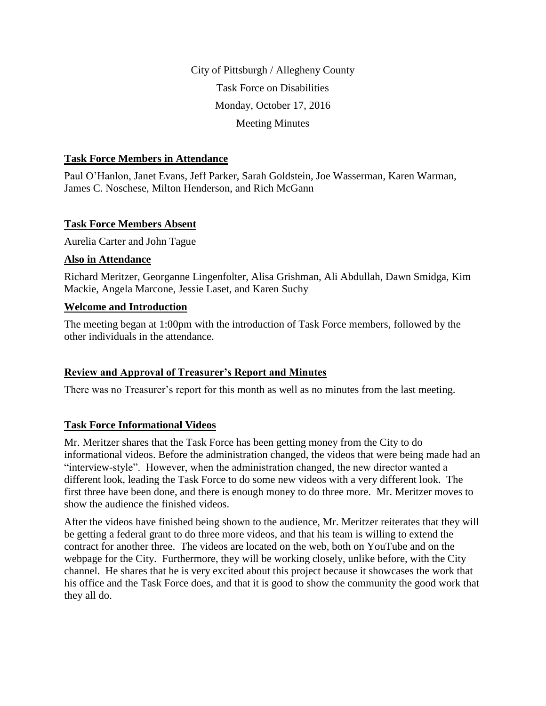City of Pittsburgh / Allegheny County Task Force on Disabilities Monday, October 17, 2016 Meeting Minutes

#### **Task Force Members in Attendance**

Paul O'Hanlon, Janet Evans, Jeff Parker, Sarah Goldstein, Joe Wasserman, Karen Warman, James C. Noschese, Milton Henderson, and Rich McGann

#### **Task Force Members Absent**

Aurelia Carter and John Tague

#### **Also in Attendance**

Richard Meritzer, Georganne Lingenfolter, Alisa Grishman, Ali Abdullah, Dawn Smidga, Kim Mackie, Angela Marcone, Jessie Laset, and Karen Suchy

#### **Welcome and Introduction**

The meeting began at 1:00pm with the introduction of Task Force members, followed by the other individuals in the attendance.

## **Review and Approval of Treasurer's Report and Minutes**

There was no Treasurer's report for this month as well as no minutes from the last meeting.

## **Task Force Informational Videos**

Mr. Meritzer shares that the Task Force has been getting money from the City to do informational videos. Before the administration changed, the videos that were being made had an "interview-style". However, when the administration changed, the new director wanted a different look, leading the Task Force to do some new videos with a very different look. The first three have been done, and there is enough money to do three more. Mr. Meritzer moves to show the audience the finished videos.

After the videos have finished being shown to the audience, Mr. Meritzer reiterates that they will be getting a federal grant to do three more videos, and that his team is willing to extend the contract for another three. The videos are located on the web, both on YouTube and on the webpage for the City. Furthermore, they will be working closely, unlike before, with the City channel. He shares that he is very excited about this project because it showcases the work that his office and the Task Force does, and that it is good to show the community the good work that they all do.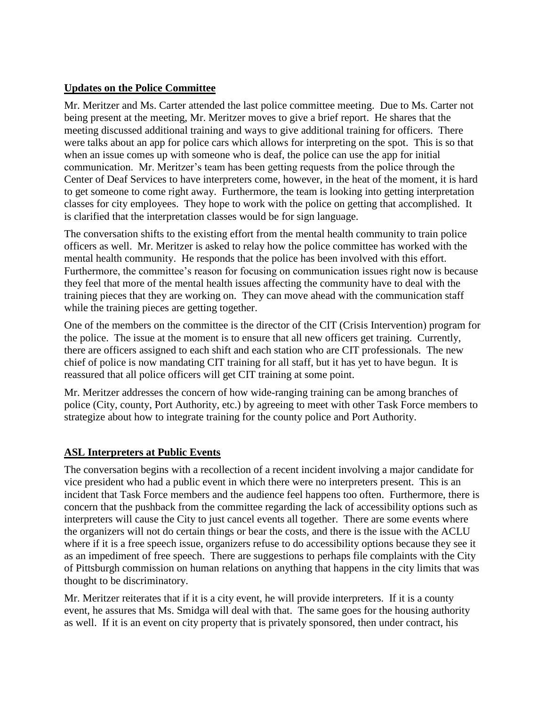## **Updates on the Police Committee**

Mr. Meritzer and Ms. Carter attended the last police committee meeting. Due to Ms. Carter not being present at the meeting, Mr. Meritzer moves to give a brief report. He shares that the meeting discussed additional training and ways to give additional training for officers. There were talks about an app for police cars which allows for interpreting on the spot. This is so that when an issue comes up with someone who is deaf, the police can use the app for initial communication. Mr. Meritzer's team has been getting requests from the police through the Center of Deaf Services to have interpreters come, however, in the heat of the moment, it is hard to get someone to come right away. Furthermore, the team is looking into getting interpretation classes for city employees. They hope to work with the police on getting that accomplished. It is clarified that the interpretation classes would be for sign language.

The conversation shifts to the existing effort from the mental health community to train police officers as well. Mr. Meritzer is asked to relay how the police committee has worked with the mental health community. He responds that the police has been involved with this effort. Furthermore, the committee's reason for focusing on communication issues right now is because they feel that more of the mental health issues affecting the community have to deal with the training pieces that they are working on. They can move ahead with the communication staff while the training pieces are getting together.

One of the members on the committee is the director of the CIT (Crisis Intervention) program for the police. The issue at the moment is to ensure that all new officers get training. Currently, there are officers assigned to each shift and each station who are CIT professionals. The new chief of police is now mandating CIT training for all staff, but it has yet to have begun. It is reassured that all police officers will get CIT training at some point.

Mr. Meritzer addresses the concern of how wide-ranging training can be among branches of police (City, county, Port Authority, etc.) by agreeing to meet with other Task Force members to strategize about how to integrate training for the county police and Port Authority.

# **ASL Interpreters at Public Events**

The conversation begins with a recollection of a recent incident involving a major candidate for vice president who had a public event in which there were no interpreters present. This is an incident that Task Force members and the audience feel happens too often. Furthermore, there is concern that the pushback from the committee regarding the lack of accessibility options such as interpreters will cause the City to just cancel events all together. There are some events where the organizers will not do certain things or bear the costs, and there is the issue with the ACLU where if it is a free speech issue, organizers refuse to do accessibility options because they see it as an impediment of free speech. There are suggestions to perhaps file complaints with the City of Pittsburgh commission on human relations on anything that happens in the city limits that was thought to be discriminatory.

Mr. Meritzer reiterates that if it is a city event, he will provide interpreters. If it is a county event, he assures that Ms. Smidga will deal with that. The same goes for the housing authority as well. If it is an event on city property that is privately sponsored, then under contract, his